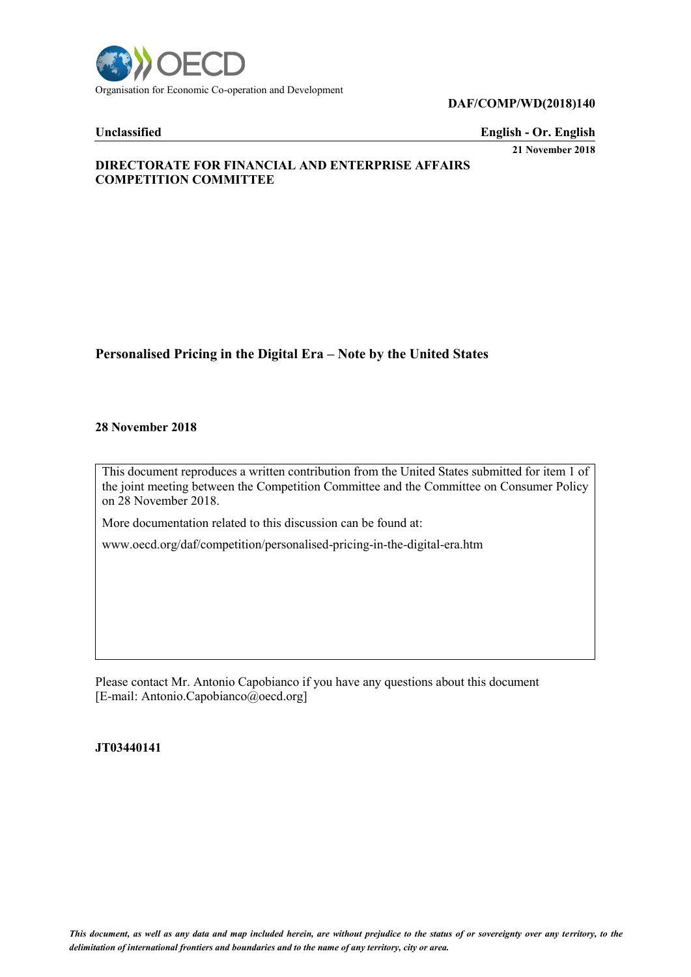

#### **DAF/COMP/WD(2018)140**

**Unclassified English - Or. English 21 November 2018**

# **DIRECTORATE FOR FINANCIAL AND ENTERPRISE AFFAIRS COMPETITION COMMITTEE**

# **Personalised Pricing in the Digital Era – Note by the United States**

#### **28 November 2018**

This document reproduces a written contribution from the United States submitted for item 1 of the joint meeting between the Competition Committee and the Committee on Consumer Policy on 28 November 2018.

More documentation related to this discussion can be found at:

www.oecd.org/daf/competition/personalised-pricing-in-the-digital-era.htm

Please contact Mr. Antonio Capobianco if you have any questions about this document [E-mail: Antonio.Capobianco@oecd.org]

**JT03440141**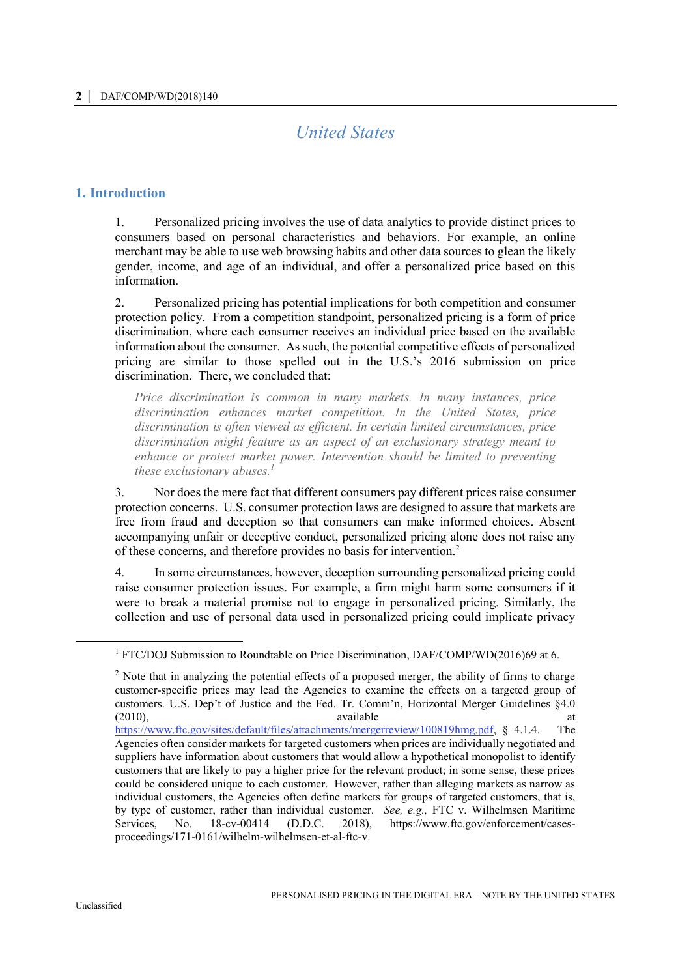# *United States*

### **1. Introduction**

1. Personalized pricing involves the use of data analytics to provide distinct prices to consumers based on personal characteristics and behaviors. For example, an online merchant may be able to use web browsing habits and other data sources to glean the likely gender, income, and age of an individual, and offer a personalized price based on this information.

2. Personalized pricing has potential implications for both competition and consumer protection policy. From a competition standpoint, personalized pricing is a form of price discrimination, where each consumer receives an individual price based on the available information about the consumer. As such, the potential competitive effects of personalized pricing are similar to those spelled out in the U.S.'s 2016 submission on price discrimination. There, we concluded that:

*Price discrimination is common in many markets. In many instances, price discrimination enhances market competition. In the United States, price discrimination is often viewed as efficient. In certain limited circumstances, price discrimination might feature as an aspect of an exclusionary strategy meant to enhance or protect market power. Intervention should be limited to preventing these exclusionary abuses.<sup>1</sup>*

3. Nor does the mere fact that different consumers pay different prices raise consumer protection concerns. U.S. consumer protection laws are designed to assure that markets are free from fraud and deception so that consumers can make informed choices. Absent accompanying unfair or deceptive conduct, personalized pricing alone does not raise any of these concerns, and therefore provides no basis for intervention.<sup>2</sup>

4. In some circumstances, however, deception surrounding personalized pricing could raise consumer protection issues. For example, a firm might harm some consumers if it were to break a material promise not to engage in personalized pricing. Similarly, the collection and use of personal data used in personalized pricing could implicate privacy

 $\overline{a}$ 

<sup>1</sup> FTC/DOJ Submission to Roundtable on Price Discrimination, DAF/COMP/WD(2016)69 at 6.

<sup>&</sup>lt;sup>2</sup> Note that in analyzing the potential effects of a proposed merger, the ability of firms to charge customer-specific prices may lead the Agencies to examine the effects on a targeted group of customers. U.S. Dep't of Justice and the Fed. Tr. Comm'n, Horizontal Merger Guidelines §4.0 (2010), available at [https://www.ftc.gov/sites/default/files/attachments/mergerreview/100819hmg.pdf,](https://www.ftc.gov/sites/default/files/attachments/mergerreview/100819hmg.pdf) § 4.1.4. The Agencies often consider markets for targeted customers when prices are individually negotiated and suppliers have information about customers that would allow a hypothetical monopolist to identify customers that are likely to pay a higher price for the relevant product; in some sense, these prices could be considered unique to each customer. However, rather than alleging markets as narrow as individual customers, the Agencies often define markets for groups of targeted customers, that is, by type of customer, rather than individual customer. *See, e.g.,* FTC v. Wilhelmsen Maritime Services, No. 18-cv-00414 (D.D.C. 2018), https://www.ftc.gov/enforcement/casesproceedings/171-0161/wilhelm-wilhelmsen-et-al-ftc-v.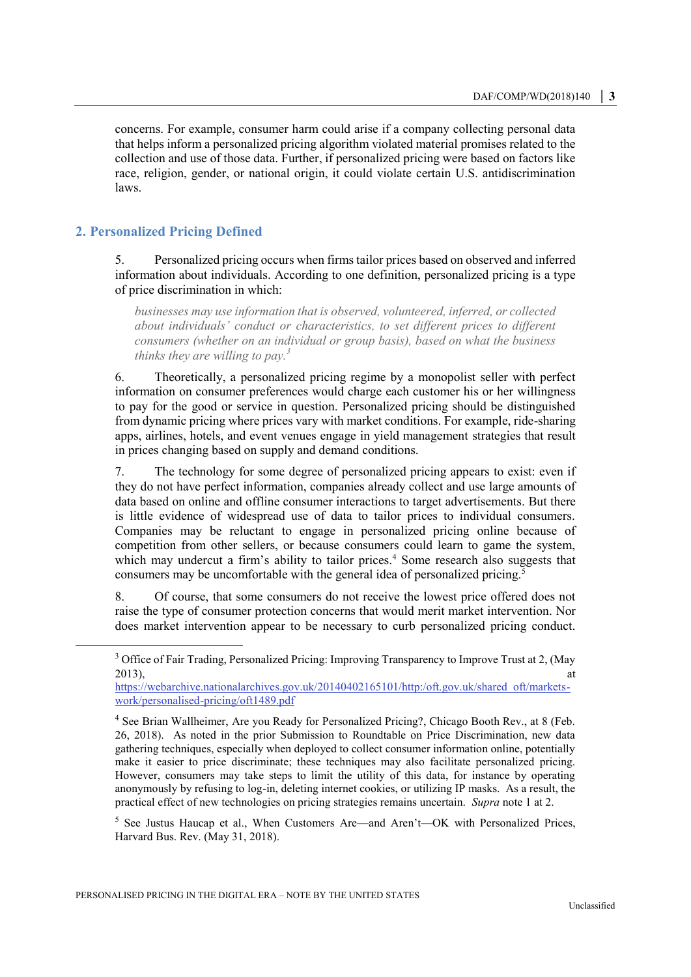concerns. For example, consumer harm could arise if a company collecting personal data that helps inform a personalized pricing algorithm violated material promises related to the collection and use of those data. Further, if personalized pricing were based on factors like race, religion, gender, or national origin, it could violate certain U.S. antidiscrimination laws.

## **2. Personalized Pricing Defined**

 $\overline{a}$ 

5. Personalized pricing occurs when firms tailor prices based on observed and inferred information about individuals. According to one definition, personalized pricing is a type of price discrimination in which:

*businesses may use information that is observed, volunteered, inferred, or collected about individuals' conduct or characteristics, to set different prices to different consumers (whether on an individual or group basis), based on what the business thinks they are willing to pay.<sup>3</sup>*

6. Theoretically, a personalized pricing regime by a monopolist seller with perfect information on consumer preferences would charge each customer his or her willingness to pay for the good or service in question. Personalized pricing should be distinguished from dynamic pricing where prices vary with market conditions. For example, ride-sharing apps, airlines, hotels, and event venues engage in yield management strategies that result in prices changing based on supply and demand conditions.

7. The technology for some degree of personalized pricing appears to exist: even if they do not have perfect information, companies already collect and use large amounts of data based on online and offline consumer interactions to target advertisements. But there is little evidence of widespread use of data to tailor prices to individual consumers. Companies may be reluctant to engage in personalized pricing online because of competition from other sellers, or because consumers could learn to game the system, which may undercut a firm's ability to tailor prices.<sup>4</sup> Some research also suggests that consumers may be uncomfortable with the general idea of personalized pricing.<sup>5</sup>

8. Of course, that some consumers do not receive the lowest price offered does not raise the type of consumer protection concerns that would merit market intervention. Nor does market intervention appear to be necessary to curb personalized pricing conduct.

 $<sup>5</sup>$  See Justus Haucap et al., When Customers Are—and Aren't—OK with Personalized Prices,</sup> Harvard Bus. Rev. (May 31, 2018).

<sup>&</sup>lt;sup>3</sup> Office of Fair Trading, Personalized Pricing: Improving Transparency to Improve Trust at 2, (May 2013), at  $\frac{1}{2}$  at  $\frac{1}{2}$  at  $\frac{1}{2}$  at  $\frac{1}{2}$  at  $\frac{1}{2}$  at  $\frac{1}{2}$  at  $\frac{1}{2}$  at  $\frac{1}{2}$  at  $\frac{1}{2}$  at  $\frac{1}{2}$  at  $\frac{1}{2}$  at  $\frac{1}{2}$  at  $\frac{1}{2}$  at  $\frac{1}{2}$  at  $\frac{1}{2}$  at  $\frac{1}{2}$  at  $\frac$ 

[https://webarchive.nationalarchives.gov.uk/20140402165101/http:/oft.gov.uk/shared\\_oft/markets](https://webarchive.nationalarchives.gov.uk/20140402165101/http:/oft.gov.uk/shared_oft/markets-work/personalised-pricing/oft1489.pdf)[work/personalised-pricing/oft1489.pdf](https://webarchive.nationalarchives.gov.uk/20140402165101/http:/oft.gov.uk/shared_oft/markets-work/personalised-pricing/oft1489.pdf)

<sup>&</sup>lt;sup>4</sup> See Brian Wallheimer, Are you Ready for Personalized Pricing?, Chicago Booth Rev., at 8 (Feb. 26, 2018). As noted in the prior Submission to Roundtable on Price Discrimination, new data gathering techniques, especially when deployed to collect consumer information online, potentially make it easier to price discriminate; these techniques may also facilitate personalized pricing. However, consumers may take steps to limit the utility of this data, for instance by operating anonymously by refusing to log-in, deleting internet cookies, or utilizing IP masks. As a result, the practical effect of new technologies on pricing strategies remains uncertain. *Supra* note 1 at 2.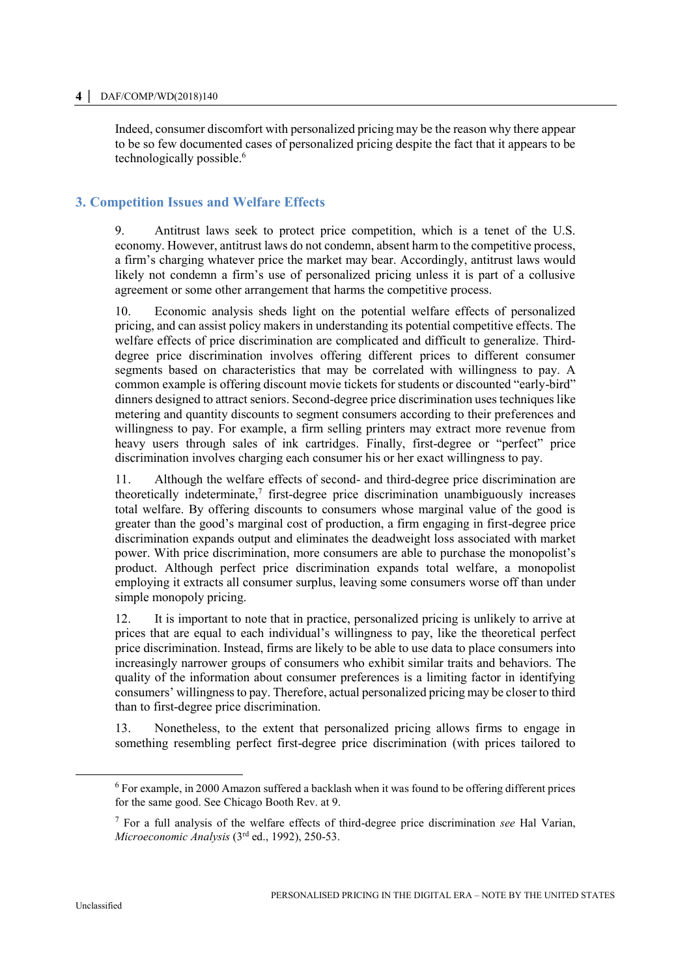Indeed, consumer discomfort with personalized pricing may be the reason why there appear to be so few documented cases of personalized pricing despite the fact that it appears to be technologically possible.<sup>6</sup>

# **3. Competition Issues and Welfare Effects**

9. Antitrust laws seek to protect price competition, which is a tenet of the U.S. economy. However, antitrust laws do not condemn, absent harm to the competitive process, a firm's charging whatever price the market may bear. Accordingly, antitrust laws would likely not condemn a firm's use of personalized pricing unless it is part of a collusive agreement or some other arrangement that harms the competitive process.

10. Economic analysis sheds light on the potential welfare effects of personalized pricing, and can assist policy makers in understanding its potential competitive effects. The welfare effects of price discrimination are complicated and difficult to generalize. Thirddegree price discrimination involves offering different prices to different consumer segments based on characteristics that may be correlated with willingness to pay. A common example is offering discount movie tickets for students or discounted "early-bird" dinners designed to attract seniors. Second-degree price discrimination uses techniques like metering and quantity discounts to segment consumers according to their preferences and willingness to pay. For example, a firm selling printers may extract more revenue from heavy users through sales of ink cartridges. Finally, first-degree or "perfect" price discrimination involves charging each consumer his or her exact willingness to pay.

11. Although the welfare effects of second- and third-degree price discrimination are theoretically indeterminate, $\frac{7}{7}$  first-degree price discrimination unambiguously increases total welfare. By offering discounts to consumers whose marginal value of the good is greater than the good's marginal cost of production, a firm engaging in first-degree price discrimination expands output and eliminates the deadweight loss associated with market power. With price discrimination, more consumers are able to purchase the monopolist's product. Although perfect price discrimination expands total welfare, a monopolist employing it extracts all consumer surplus, leaving some consumers worse off than under simple monopoly pricing.

12. It is important to note that in practice, personalized pricing is unlikely to arrive at prices that are equal to each individual's willingness to pay, like the theoretical perfect price discrimination. Instead, firms are likely to be able to use data to place consumers into increasingly narrower groups of consumers who exhibit similar traits and behaviors. The quality of the information about consumer preferences is a limiting factor in identifying consumers' willingness to pay. Therefore, actual personalized pricing may be closer to third than to first-degree price discrimination.

13. Nonetheless, to the extent that personalized pricing allows firms to engage in something resembling perfect first-degree price discrimination (with prices tailored to

 $\overline{a}$ 

 $6$  For example, in 2000 Amazon suffered a backlash when it was found to be offering different prices for the same good. See Chicago Booth Rev. at 9.

<sup>7</sup> For a full analysis of the welfare effects of third-degree price discrimination *see* Hal Varian, *Microeconomic Analysis* (3rd ed., 1992), 250-53.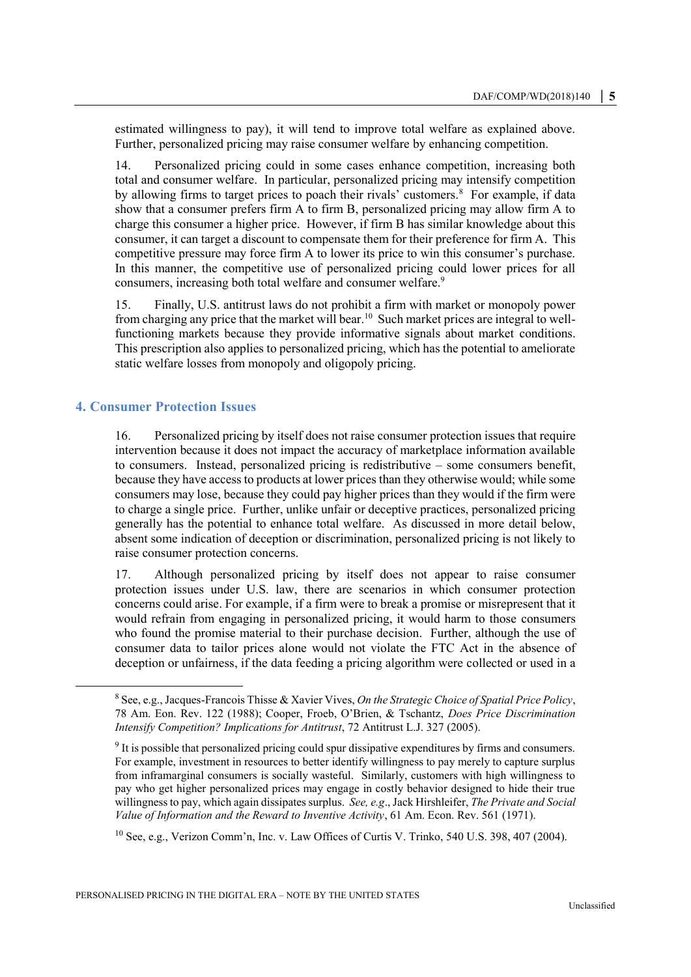estimated willingness to pay), it will tend to improve total welfare as explained above. Further, personalized pricing may raise consumer welfare by enhancing competition.

14. Personalized pricing could in some cases enhance competition, increasing both total and consumer welfare. In particular, personalized pricing may intensify competition by allowing firms to target prices to poach their rivals' customers.<sup>8</sup> For example, if data show that a consumer prefers firm A to firm B, personalized pricing may allow firm A to charge this consumer a higher price. However, if firm B has similar knowledge about this consumer, it can target a discount to compensate them for their preference for firm A. This competitive pressure may force firm A to lower its price to win this consumer's purchase. In this manner, the competitive use of personalized pricing could lower prices for all consumers, increasing both total welfare and consumer welfare.<sup>9</sup>

15. Finally, U.S. antitrust laws do not prohibit a firm with market or monopoly power from charging any price that the market will bear.<sup>10</sup> Such market prices are integral to wellfunctioning markets because they provide informative signals about market conditions. This prescription also applies to personalized pricing, which has the potential to ameliorate static welfare losses from monopoly and oligopoly pricing.

#### **4. Consumer Protection Issues**

 $\overline{a}$ 

16. Personalized pricing by itself does not raise consumer protection issues that require intervention because it does not impact the accuracy of marketplace information available to consumers. Instead, personalized pricing is redistributive – some consumers benefit, because they have access to products at lower prices than they otherwise would; while some consumers may lose, because they could pay higher prices than they would if the firm were to charge a single price. Further, unlike unfair or deceptive practices, personalized pricing generally has the potential to enhance total welfare. As discussed in more detail below, absent some indication of deception or discrimination, personalized pricing is not likely to raise consumer protection concerns.

17. Although personalized pricing by itself does not appear to raise consumer protection issues under U.S. law, there are scenarios in which consumer protection concerns could arise. For example, if a firm were to break a promise or misrepresent that it would refrain from engaging in personalized pricing, it would harm to those consumers who found the promise material to their purchase decision. Further, although the use of consumer data to tailor prices alone would not violate the FTC Act in the absence of deception or unfairness, if the data feeding a pricing algorithm were collected or used in a

<sup>10</sup> See, e.g., Verizon Comm'n, Inc. v. Law Offices of Curtis V. Trinko, 540 U.S. 398, 407 (2004).

<sup>8</sup> See, e.g., Jacques-Francois Thisse & Xavier Vives, *On the Strategic Choice of Spatial Price Policy*, 78 Am. Eon. Rev. 122 (1988); Cooper, Froeb, O'Brien, & Tschantz, *Does Price Discrimination Intensify Competition? Implications for Antitrust*, 72 Antitrust L.J. 327 (2005).

<sup>&</sup>lt;sup>9</sup> It is possible that personalized pricing could spur dissipative expenditures by firms and consumers. For example, investment in resources to better identify willingness to pay merely to capture surplus from inframarginal consumers is socially wasteful. Similarly, customers with high willingness to pay who get higher personalized prices may engage in costly behavior designed to hide their true willingness to pay, which again dissipates surplus. *See, e.g*., Jack Hirshleifer, *The Private and Social Value of Information and the Reward to Inventive Activity*, 61 Am. Econ. Rev. 561 (1971).